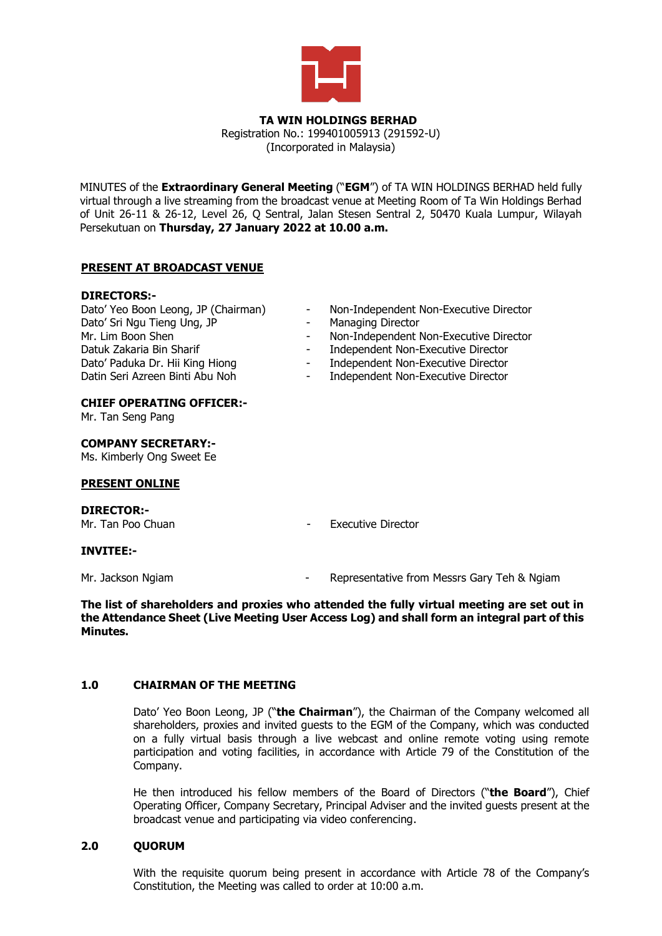

#### **TA WIN HOLDINGS BERHAD** Registration No.: 199401005913 (291592-U) (Incorporated in Malaysia)

MINUTES of the **Extraordinary General Meeting** ("**EGM**") of TA WIN HOLDINGS BERHAD held fully virtual through a live streaming from the broadcast venue at Meeting Room of Ta Win Holdings Berhad of Unit 26-11 & 26-12, Level 26, Q Sentral, Jalan Stesen Sentral 2, 50470 Kuala Lumpur, Wilayah Persekutuan on **Thursday, 27 January 2022 at 10.00 a.m.**

# **PRESENT AT BROADCAST VENUE**

#### **DIRECTORS:-**

- Dato' Yeo Boon Leong, JP (Chairman) Dato' Sri Ngu Tieng Ung, JP Mr. Lim Boon Shen Datuk Zakaria Bin Sharif Dato' Paduka Dr. Hii King Hiong Datin Seri Azreen Binti Abu Noh
- Non-Independent Non-Executive Director
- Managing Director<br>- Non-Independent I
	- Non-Independent Non-Executive Director
	- Independent Non-Executive Director
- Independent Non-Executive Director
- Independent Non-Executive Director

#### **CHIEF OPERATING OFFICER:-**

Mr. Tan Seng Pang

#### **COMPANY SECRETARY:-**

Ms. Kimberly Ong Sweet Ee

#### **PRESENT ONLINE**

**DIRECTOR:-**

Mr. Tan Poo Chuan **- Executive Director** 

# **INVITEE:-**

Mr. Jackson Ngiam **Mr. Jackson Ngiam** - Representative from Messrs Gary Teh & Ngiam

**The list of shareholders and proxies who attended the fully virtual meeting are set out in the Attendance Sheet (Live Meeting User Access Log) and shall form an integral part of this Minutes.**

# **1.0 CHAIRMAN OF THE MEETING**

Dato' Yeo Boon Leong, JP ("**the Chairman**"), the Chairman of the Company welcomed all shareholders, proxies and invited guests to the EGM of the Company, which was conducted on a fully virtual basis through a live webcast and online remote voting using remote participation and voting facilities, in accordance with Article 79 of the Constitution of the Company.

He then introduced his fellow members of the Board of Directors ("**the Board**"), Chief Operating Officer, Company Secretary, Principal Adviser and the invited guests present at the broadcast venue and participating via video conferencing.

# **2.0 QUORUM**

With the requisite quorum being present in accordance with Article 78 of the Company's Constitution, the Meeting was called to order at 10:00 a.m.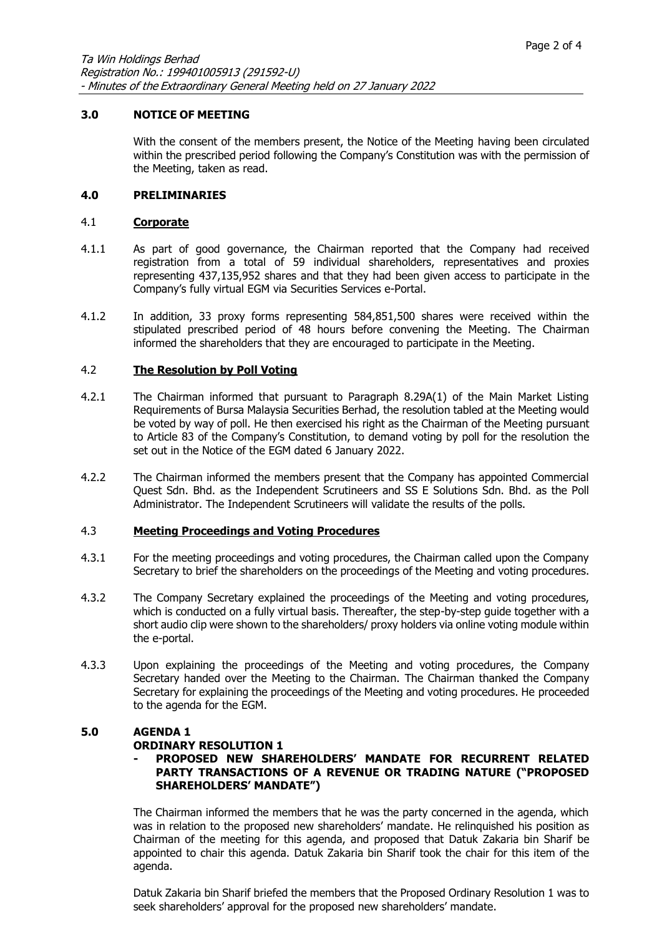# **3.0 NOTICE OF MEETING**

With the consent of the members present, the Notice of the Meeting having been circulated within the prescribed period following the Company's Constitution was with the permission of the Meeting, taken as read.

#### **4.0 PRELIMINARIES**

#### 4.1 **Corporate**

- 4.1.1 As part of good governance, the Chairman reported that the Company had received registration from a total of 59 individual shareholders, representatives and proxies representing 437,135,952 shares and that they had been given access to participate in the Company's fully virtual EGM via Securities Services e-Portal.
- 4.1.2 In addition, 33 proxy forms representing 584,851,500 shares were received within the stipulated prescribed period of 48 hours before convening the Meeting. The Chairman informed the shareholders that they are encouraged to participate in the Meeting.

#### 4.2 **The Resolution by Poll Voting**

- 4.2.1 The Chairman informed that pursuant to Paragraph 8.29A(1) of the Main Market Listing Requirements of Bursa Malaysia Securities Berhad, the resolution tabled at the Meeting would be voted by way of poll. He then exercised his right as the Chairman of the Meeting pursuant to Article 83 of the Company's Constitution, to demand voting by poll for the resolution the set out in the Notice of the EGM dated 6 January 2022.
- 4.2.2 The Chairman informed the members present that the Company has appointed Commercial Quest Sdn. Bhd. as the Independent Scrutineers and SS E Solutions Sdn. Bhd. as the Poll Administrator. The Independent Scrutineers will validate the results of the polls.

#### 4.3 **Meeting Proceedings and Voting Procedures**

- 4.3.1 For the meeting proceedings and voting procedures, the Chairman called upon the Company Secretary to brief the shareholders on the proceedings of the Meeting and voting procedures.
- 4.3.2 The Company Secretary explained the proceedings of the Meeting and voting procedures, which is conducted on a fully virtual basis. Thereafter, the step-by-step guide together with a short audio clip were shown to the shareholders/ proxy holders via online voting module within the e-portal.
- 4.3.3 Upon explaining the proceedings of the Meeting and voting procedures, the Company Secretary handed over the Meeting to the Chairman. The Chairman thanked the Company Secretary for explaining the proceedings of the Meeting and voting procedures. He proceeded to the agenda for the EGM.

# **5.0 AGENDA 1**

# **ORDINARY RESOLUTION 1**

#### **- PROPOSED NEW SHAREHOLDERS' MANDATE FOR RECURRENT RELATED PARTY TRANSACTIONS OF A REVENUE OR TRADING NATURE ("PROPOSED SHAREHOLDERS' MANDATE")**

The Chairman informed the members that he was the party concerned in the agenda, which was in relation to the proposed new shareholders' mandate. He relinquished his position as Chairman of the meeting for this agenda, and proposed that Datuk Zakaria bin Sharif be appointed to chair this agenda. Datuk Zakaria bin Sharif took the chair for this item of the agenda.

Datuk Zakaria bin Sharif briefed the members that the Proposed Ordinary Resolution 1 was to seek shareholders' approval for the proposed new shareholders' mandate.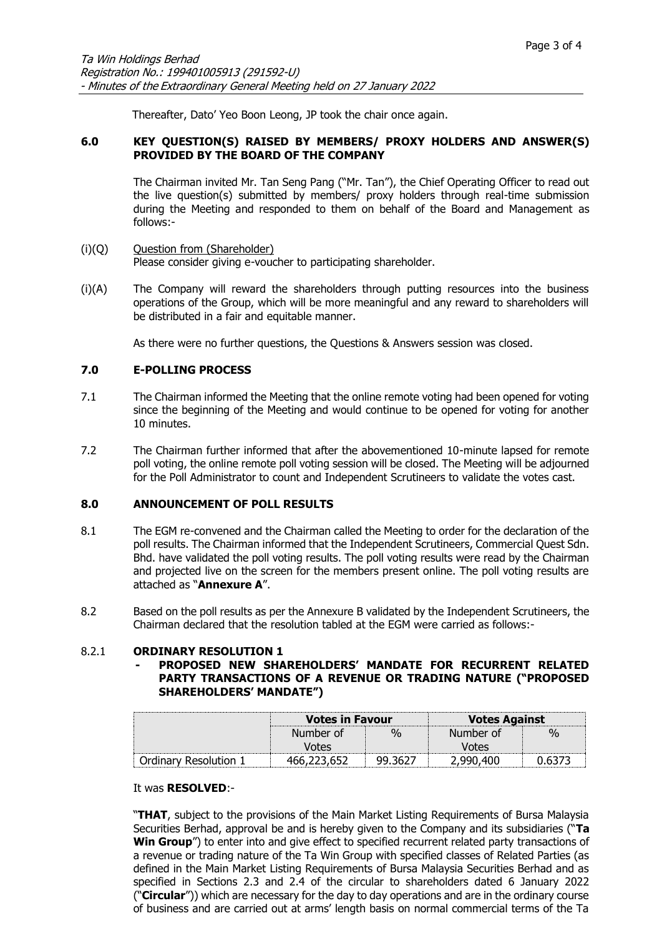Thereafter, Dato' Yeo Boon Leong, JP took the chair once again.

# **6.0 KEY QUESTION(S) RAISED BY MEMBERS/ PROXY HOLDERS AND ANSWER(S) PROVIDED BY THE BOARD OF THE COMPANY**

The Chairman invited Mr. Tan Seng Pang ("Mr. Tan"), the Chief Operating Officer to read out the live question(s) submitted by members/ proxy holders through real-time submission during the Meeting and responded to them on behalf of the Board and Management as follows:-

- (i)(Q) Question from (Shareholder) Please consider giving e-voucher to participating shareholder.
- (i)(A) The Company will reward the shareholders through putting resources into the business operations of the Group, which will be more meaningful and any reward to shareholders will be distributed in a fair and equitable manner.

As there were no further questions, the Questions & Answers session was closed.

# **7.0 E-POLLING PROCESS**

- 7.1 The Chairman informed the Meeting that the online remote voting had been opened for voting since the beginning of the Meeting and would continue to be opened for voting for another 10 minutes.
- 7.2 The Chairman further informed that after the abovementioned 10-minute lapsed for remote poll voting, the online remote poll voting session will be closed. The Meeting will be adjourned for the Poll Administrator to count and Independent Scrutineers to validate the votes cast.

# **8.0 ANNOUNCEMENT OF POLL RESULTS**

- 8.1 The EGM re-convened and the Chairman called the Meeting to order for the declaration of the poll results. The Chairman informed that the Independent Scrutineers, Commercial Quest Sdn. Bhd. have validated the poll voting results. The poll voting results were read by the Chairman and projected live on the screen for the members present online. The poll voting results are attached as "**Annexure A**".
- 8.2 Based on the poll results as per the Annexure B validated by the Independent Scrutineers, the Chairman declared that the resolution tabled at the EGM were carried as follows:-

# 8.2.1 **ORDINARY RESOLUTION 1**

**- PROPOSED NEW SHAREHOLDERS' MANDATE FOR RECURRENT RELATED PARTY TRANSACTIONS OF A REVENUE OR TRADING NATURE ("PROPOSED SHAREHOLDERS' MANDATE")**

|                     | <b>Votes in Favour</b> |               | <b>Votes Against</b> |      |  |
|---------------------|------------------------|---------------|----------------------|------|--|
|                     | Number of              | $\frac{0}{0}$ | Number of            | $\%$ |  |
|                     | <b>Votes</b>           |               | Votes                |      |  |
| Ordinary Resolution |                        | 99.3627       | 2.990.400            |      |  |

# It was **RESOLVED**:-

"**THAT**, subject to the provisions of the Main Market Listing Requirements of Bursa Malaysia Securities Berhad, approval be and is hereby given to the Company and its subsidiaries ("**Ta Win Group**") to enter into and give effect to specified recurrent related party transactions of a revenue or trading nature of the Ta Win Group with specified classes of Related Parties (as defined in the Main Market Listing Requirements of Bursa Malaysia Securities Berhad and as specified in Sections 2.3 and 2.4 of the circular to shareholders dated 6 January 2022 ("**Circular**")) which are necessary for the day to day operations and are in the ordinary course of business and are carried out at arms' length basis on normal commercial terms of the Ta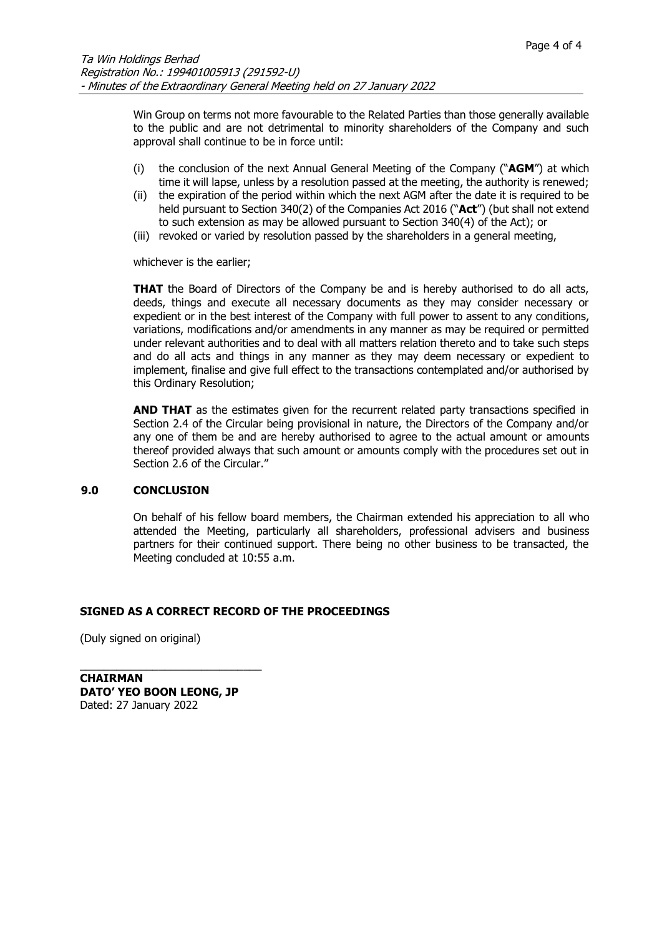Win Group on terms not more favourable to the Related Parties than those generally available to the public and are not detrimental to minority shareholders of the Company and such approval shall continue to be in force until:

- (i) the conclusion of the next Annual General Meeting of the Company ("**AGM**") at which time it will lapse, unless by a resolution passed at the meeting, the authority is renewed;
- (ii) the expiration of the period within which the next AGM after the date it is required to be held pursuant to Section 340(2) of the Companies Act 2016 ("**Act**") (but shall not extend to such extension as may be allowed pursuant to Section 340(4) of the Act); or
- (iii) revoked or varied by resolution passed by the shareholders in a general meeting,

whichever is the earlier;

**THAT** the Board of Directors of the Company be and is hereby authorised to do all acts, deeds, things and execute all necessary documents as they may consider necessary or expedient or in the best interest of the Company with full power to assent to any conditions, variations, modifications and/or amendments in any manner as may be required or permitted under relevant authorities and to deal with all matters relation thereto and to take such steps and do all acts and things in any manner as they may deem necessary or expedient to implement, finalise and give full effect to the transactions contemplated and/or authorised by this Ordinary Resolution;

**AND THAT** as the estimates given for the recurrent related party transactions specified in Section 2.4 of the Circular being provisional in nature, the Directors of the Company and/or any one of them be and are hereby authorised to agree to the actual amount or amounts thereof provided always that such amount or amounts comply with the procedures set out in Section 2.6 of the Circular."

# **9.0 CONCLUSION**

On behalf of his fellow board members, the Chairman extended his appreciation to all who attended the Meeting, particularly all shareholders, professional advisers and business partners for their continued support. There being no other business to be transacted, the Meeting concluded at 10:55 a.m.

# **SIGNED AS A CORRECT RECORD OF THE PROCEEDINGS**

(Duly signed on original)

**CHAIRMAN DATO' YEO BOON LEONG, JP**  Dated: 27 January 2022

\_\_\_\_\_\_\_\_\_\_\_\_\_\_\_\_\_\_\_\_\_\_\_\_\_\_\_\_\_\_